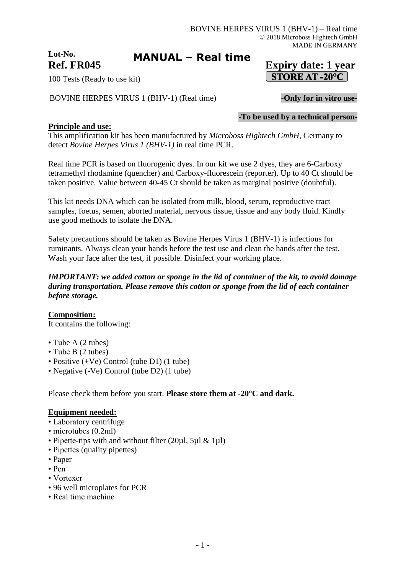# **Lot-No. Ref. FR045 Expiry date: 1 year**

100 Tests (Ready to use kit)

BOVINE HERPES VIRUS 1 (BHV-1) (Real time) - Only for in vitro use-

STORE AT -20°C

-**To be used by a technical person-**

## **Principle and use:**

This amplification kit has been manufactured by *Microboss Hightech GmbH*, Germany to detect *Bovine Herpes Virus 1 (BHV-1)* in real time PCR.

**MANUAL – Real time**

Real time PCR is based on fluorogenic dyes. In our kit we use 2 dyes, they are 6-Carboxy tetramethyl rhodamine (quencher) and Carboxy-fluorescein (reporter). Up to 40 Ct should be taken positive. Value between 40-45 Ct should be taken as marginal positive (doubtful).

This kit needs DNA which can be isolated from milk, blood, serum, reproductive tract samples, foetus, semen, aborted material, nervous tissue, tissue and any body fluid. Kindly use good methods to isolate the DNA.

Safety precautions should be taken as Bovine Herpes Virus 1 (BHV-1) is infectious for ruminants. Always clean your hands before the test use and clean the hands after the test. Wash your face after the test, if possible. Disinfect your working place.

## *IMPORTANT: we added cotton or sponge in the lid of container of the kit, to avoid damage during transportation. Please remove this cotton or sponge from the lid of each container before storage.*

**Composition:**

It contains the following:

- Tube A (2 tubes)
- Tube B (2 tubes)
- Positive (+Ve) Control (tube D1) (1 tube)
- Negative (-Ve) Control (tube D2) (1 tube)

Please check them before you start. **Please store them at -20°C and dark.**

## **Equipment needed:**

- Laboratory centrifuge
- microtubes (0.2ml)
- Pipette-tips with and without filter (20µl, 5µl & 1µl)
- Pipettes (quality pipettes)
- Paper
- Pen
- Vortexer
- 96 well microplates for PCR
- Real time machine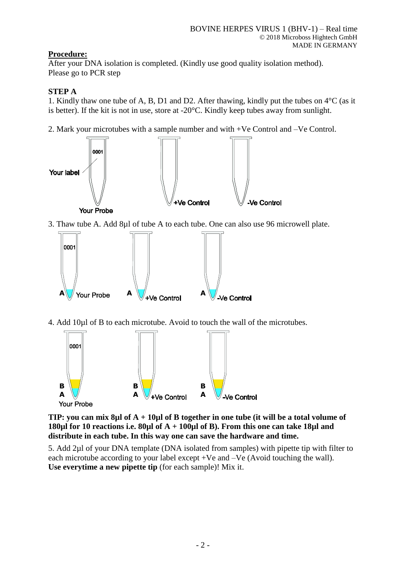# **Procedure:**

After your DNA isolation is completed. (Kindly use good quality isolation method). Please go to PCR step

## **STEP A**

1. Kindly thaw one tube of A, B, D1 and D2. After thawing, kindly put the tubes on 4°C (as it is better). If the kit is not in use, store at -20°C. Kindly keep tubes away from sunlight.

2. Mark your microtubes with a sample number and with +Ve Control and –Ve Control.



+Ve Control

**B A**



**B**

**TIP: you can mix 8µl of A + 10µl of B together in one tube (it will be a total volume of 180µl for 10 reactions i.e. 80µl of A + 100µl of B). From this one can take 18µl and distribute in each tube. In this way one can save the hardware and time.**

**B A**

**Ve Control** 

5. Add 2µl of your DNA template (DNA isolated from samples) with pipette tip with filter to each microtube according to your label except +Ve and –Ve (Avoid touching the wall). **Use everytime a new pipette tip** (for each sample)! Mix it.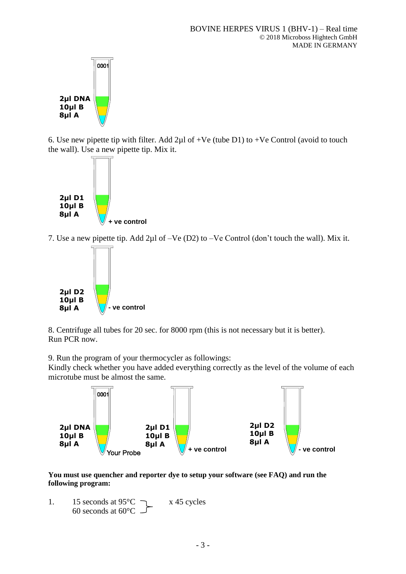

6. Use new pipette tip with filter. Add  $2\mu$ l of +Ve (tube D1) to +Ve Control (avoid to touch the wall). Use a new pipette tip. Mix it.



7. Use a new pipette tip. Add 2µl of –Ve (D2) to –Ve Control (don't touch the wall). Mix it.



8. Centrifuge all tubes for 20 sec. for 8000 rpm (this is not necessary but it is better). Run PCR now.

9. Run the program of your thermocycler as followings:

Kindly check whether you have added everything correctly as the level of the volume of each microtube must be almost the same.



**You must use quencher and reporter dye to setup your software (see FAQ) and run the following program:**

1. 15 seconds at  $95^{\circ}$ C  $\rightarrow x 45$  cycles 60 seconds at  $60^{\circ}$ C  $\overline{\phantom{0}}$ .